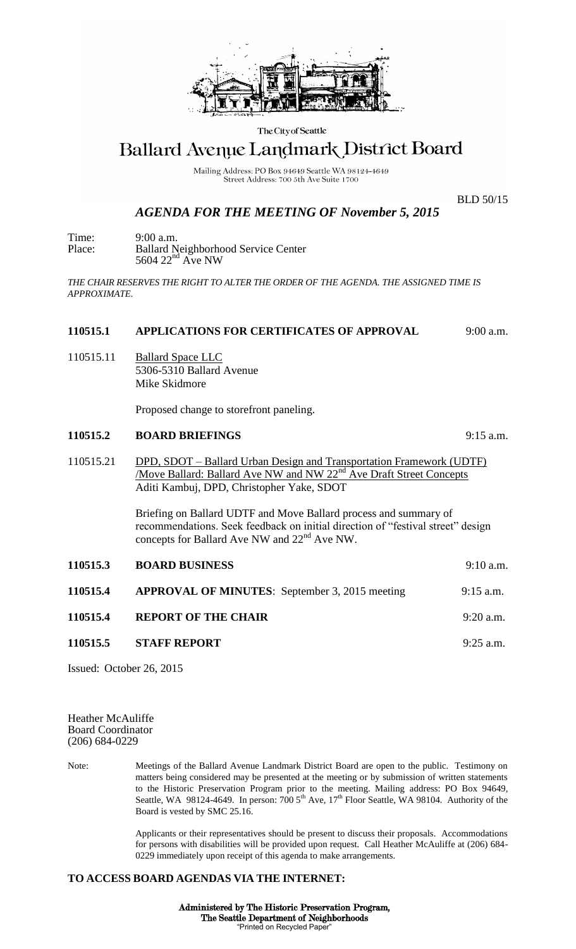

The City of Seattle

# Ballard Avenue Landmark District Board

Mailing Address: PO Box 94649 Seattle WA 98124-4649 Street Address: 700 5th Ave Suite 1700

BLD 50/15

## *AGENDA FOR THE MEETING OF November 5, 2015*

Time: 9:00 a.m. Place: Ballard Neighborhood Service Center  $5604$   $22<sup>nd</sup>$  Ave NW

*THE CHAIR RESERVES THE RIGHT TO ALTER THE ORDER OF THE AGENDA. THE ASSIGNED TIME IS APPROXIMATE.*

### **110515.1 APPLICATIONS FOR CERTIFICATES OF APPROVAL** 9:00 a.m.

110515.11 Ballard Space LLC 5306-5310 Ballard Avenue Mike Skidmore

Proposed change to storefront paneling.

#### **110515.2 BOARD BRIEFINGS** 9:15 a.m.

110515.21 DPD, SDOT – Ballard Urban Design and Transportation Framework (UDTF) Move Ballard: Ballard Ave NW and NW 22<sup>nd</sup> Ave Draft Street Concepts Aditi Kambuj, DPD, Christopher Yake, SDOT

> Briefing on Ballard UDTF and Move Ballard process and summary of recommendations. Seek feedback on initial direction of "festival street" design concepts for Ballard Ave NW and 22nd Ave NW.

| 110515.3 | <b>BOARD BUSINESS</b>                                 | $9:10$ a.m. |
|----------|-------------------------------------------------------|-------------|
| 110515.4 | <b>APPROVAL OF MINUTES:</b> September 3, 2015 meeting | $9:15$ a.m. |
| 110515.4 | <b>REPORT OF THE CHAIR</b>                            | $9:20$ a.m. |
| 110515.5 | <b>STAFF REPORT</b>                                   | $9:25$ a.m. |
|          |                                                       |             |

Issued: October 26, 2015

Heather McAuliffe Board Coordinator (206) 684-0229

Note: Meetings of the Ballard Avenue Landmark District Board are open to the public. Testimony on matters being considered may be presented at the meeting or by submission of written statements to the Historic Preservation Program prior to the meeting. Mailing address: PO Box 94649, Seattle, WA 98124-4649. In person:  $7005<sup>th</sup>$  Ave,  $17<sup>th</sup>$  Floor Seattle, WA 98104. Authority of the Board is vested by SMC 25.16.

> Applicants or their representatives should be present to discuss their proposals. Accommodations for persons with disabilities will be provided upon request. Call Heather McAuliffe at (206) 684- 0229 immediately upon receipt of this agenda to make arrangements.

#### **TO ACCESS BOARD AGENDAS VIA THE INTERNET:**